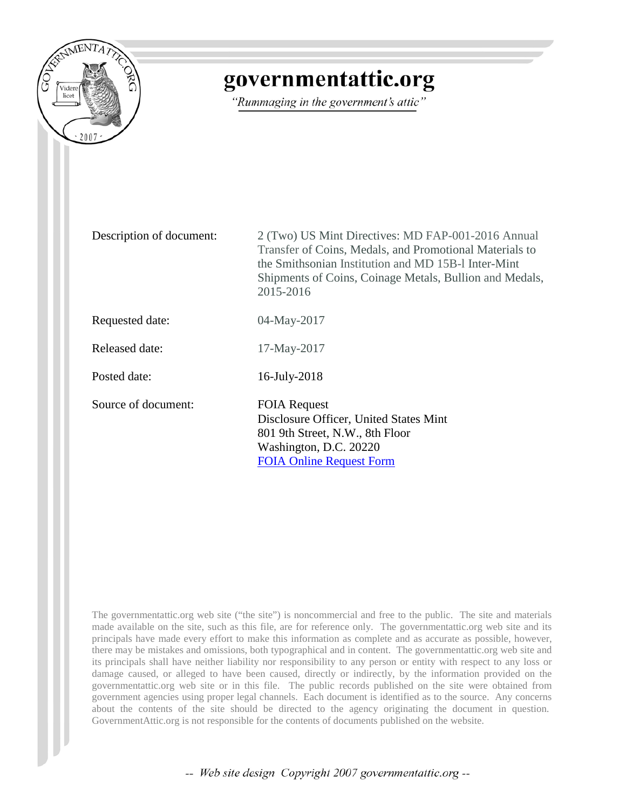

# governmentattic.org

"Rummaging in the government's attic"

Description of document: 2 (Two) US Mint Directives: MD FAP-001-2016 Annual Transfer of Coins, Medals, and Promotional Materials to the Smithsonian Institution and MD 15B-l Inter-Mint Shipments of Coins, Coinage Metals, Bullion and Medals, 2015-2016

Requested date: 04-May-2017

Released date: 17-May-2017

Posted date: 16-July-2018

Source of document: FOIA Request

Disclosure Officer, United States Mint 801 9th Street, N.W., 8th Floor Washington, D.C. 20220 [FOIA Online Request Form](https://www.treasury.gov/foia/pages/gofoia.aspx)

The governmentattic.org web site ("the site") is noncommercial and free to the public. The site and materials made available on the site, such as this file, are for reference only. The governmentattic.org web site and its principals have made every effort to make this information as complete and as accurate as possible, however, there may be mistakes and omissions, both typographical and in content. The governmentattic.org web site and its principals shall have neither liability nor responsibility to any person or entity with respect to any loss or damage caused, or alleged to have been caused, directly or indirectly, by the information provided on the governmentattic.org web site or in this file. The public records published on the site were obtained from government agencies using proper legal channels. Each document is identified as to the source. Any concerns about the contents of the site should be directed to the agency originating the document in question. GovernmentAttic.org is not responsible for the contents of documents published on the website.

-- Web site design Copyright 2007 governmentattic.org --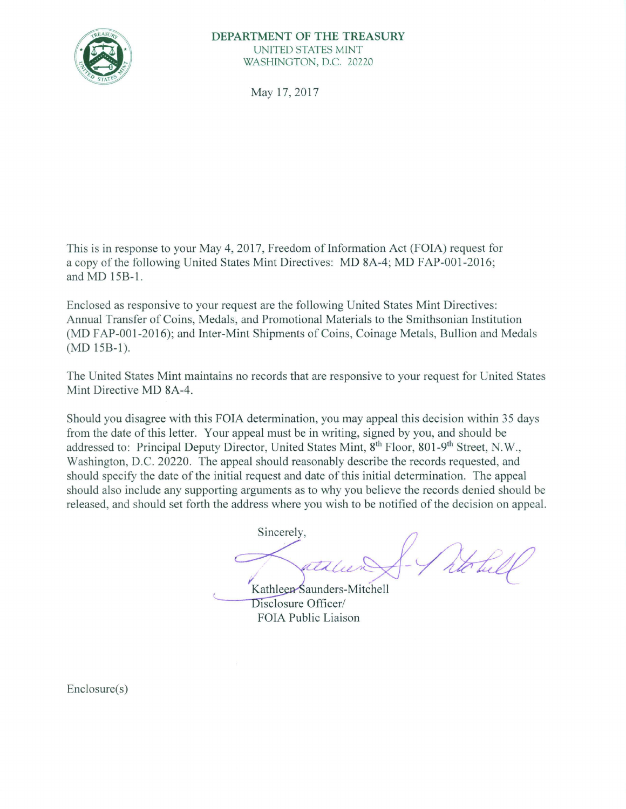

#### **DEPARTMENT OF THE TREASURY**  UNITED STATES MINT WASHINGTON, D.C. 20220

May 17, 2017

This is in response to your May 4, 2017, Freedom of Information Act (FOIA) request for a copy of the following United States Mint Directives: MD 8A-4; MD FAP-001-2016; and MD 15B-l.

Enclosed as responsive to your request are the following United States Mint Directives: Annual Transfer of Coins, Medals, and Promotional Materials to the Smithsonian Institution (MD FAP-001-2016); and Inter-Mint Shipments of Coins, Coinage Metals, Bullion and Medals (MD 15B-l).

The United States Mint maintains no records that are responsive to your request for United States Mint Directive MD 8A-4.

Should you disagree with this FOIA determination, you may appeal this decision within 35 days from the date of this letter. Your appeal must be in writing, signed by you, and should be addressed to: Principal Deputy Director, United States Mint, 8<sup>th</sup> Floor, 801-9<sup>th</sup> Street, N.W., Washington, D.C. 20220. The appeal should reasonably describe the records requested, and should specify the date of the initial request and date of this initial determination. The appeal should also include any supporting arguments as to why you believe the records denied should be released, and should set forth the address where you wish to be notified of the decision on appeal.

Sincerely,  $\bigcap$ hot. atalun 1-

Kathleen Saunders-Mitchell Disclosure Officer/ FOIA Public Liaison

Enclosure(s)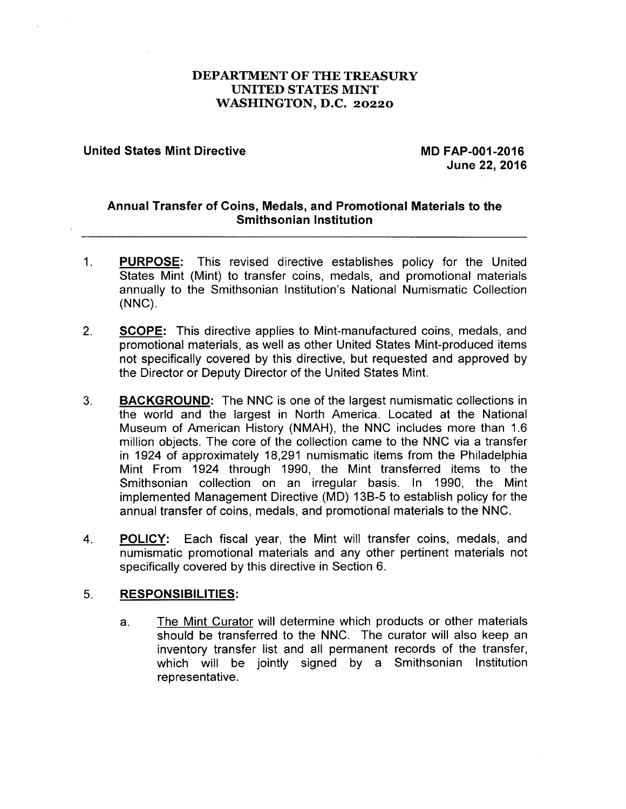# **DEPARTMENT OF THE TREASURY UNITED STATES MINT WASHINGTON, D.C. 20220**

## **United States Mint Directive MB 60 2016** MD FAP-001-2016

**June 22, 2016** 

# **Annual Transfer of Coins, Medals, and Promotional Materials to the Smithsonian Institution**

- 1. **PURPOSE:** This revised directive establishes policy for the United States Mint (Mint) to transfer coins, medals, and promotional materials annually to the Smithsonian Institution's National Numismatic Collection **(NNC).**
- 2. **SCOPE:** This directive applies to Mint-manufactured coins, medals, and promotional materials, as well as other United States Mint-produced items not specifically covered by this directive, but requested and approved by the Director or Deputy Director of the United States Mint.
- 3. **BACKGROUND:** The NNC is one of the largest numismatic collections in the world and the largest in North America. Located at the National Museum of American History (NMAH), the NNC includes more than 1.6 million objects. The core of the collection came to the NNC via a transfer in 1924 of approximately 18,291 numismatic items from the Philadelphia Mint From 1924 through 1990, the Mint transferred items to the Smithsonian collection on an irregular basis. In 1990, the Mint implemented Management Directive (MD) 13B-5 to establish policy for the annual transfer of coins, medals, and promotional materials to the NNC.
- 4. **POLICY:** Each fiscal year, the Mint will transfer coins, medals, and numismatic promotional materials and any other pertinent materials not specifically covered by this directive in Section 6.

# 5. **RESPONSIBILITIES:**

a. The Mint Curator will determine which products or other materials should be transferred to the **NNC.** The curator will also keep an inventory transfer list and all permanent records of the transfer, which will be jointly signed by a Smithsonian Institution representative.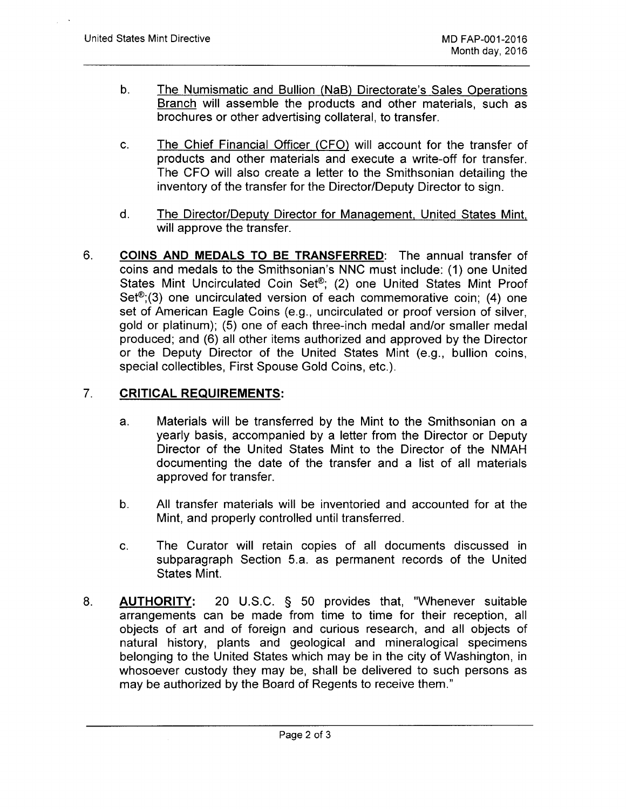- b. The Numismatic and Bullion (NaB) Directorate's Sales Operations Branch will assemble the products and other materials, such as brochures or other advertising collateral, to transfer.
- c. The Chief Financial Officer (CFO) will account for the transfer of products and other materials and execute a write-off for transfer. The CFO will also create a letter to the Smithsonian detailing the inventory of the transfer for the Director/Deputy Director to sign.
- d. The Director/Deputy Director for Management, United States Mint, will approve the transfer.
- 6. **COINS AND MEDALS TO BE TRANSFERRED:** The annual transfer of coins and medals to the Smithsonian's NNC must include: (1) one United States Mint Uncirculated Coin Set®; (2) one United States Mint Proof Set<sup>®</sup>;(3) one uncirculated version of each commemorative coin; (4) one set of American Eagle Coins (e.g., uncirculated or proof version of silver, gold or platinum); (5) one of each three-inch medal and/or smaller medal produced; and (6) all other items authorized and approved by the Director or the Deputy Director of the United States Mint (e.g., bullion coins, special collectibles, First Spouse Gold Coins, etc.).

#### 7. **CRITICAL REQUIREMENTS:**

- a. Materials will be transferred by the Mint to the Smithsonian on a yearly basis, accompanied by a letter from the Director or Deputy Director of the United States Mint to the Director of the NMAH documenting the date of the transfer and a list of all materials approved for transfer.
- b. All transfer materials will be inventoried and accounted for at the Mint, and properly controlled until transferred.
- c. The Curator will retain copies of all documents discussed in subparagraph Section 5.a. as permanent records of the United States Mint.
- 8. **AUTHORITY:** 20 U.S.C. § 50 provides that, "Whenever suitable arrangements can be made from time to time for their reception, all objects of art and of foreign and curious research, and all objects of natural history, plants and geological and mineralogical specimens belonging to the United States which may be in the city of Washington, in whosoever custody they may be, shall be delivered to such persons as may be authorized by the Board of Regents to receive them."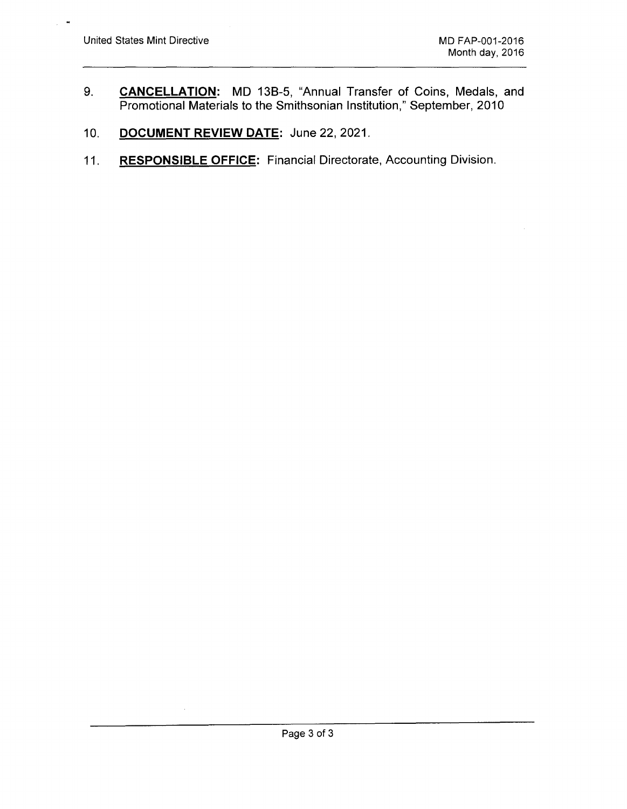$\bullet$  $\ddot{\phantom{a}}$ 

- 9. **CANCELLATION:** MD 138-5, "Annual Transfer of Coins, Medals, and Promotional Materials to the Smithsonian Institution," September, 2010
- 10. **DOCUMENT REVIEW DATE:** June 22, 2021.
- 11. **RESPONSIBLE OFFICE:** Financial Directorate, Accounting Division.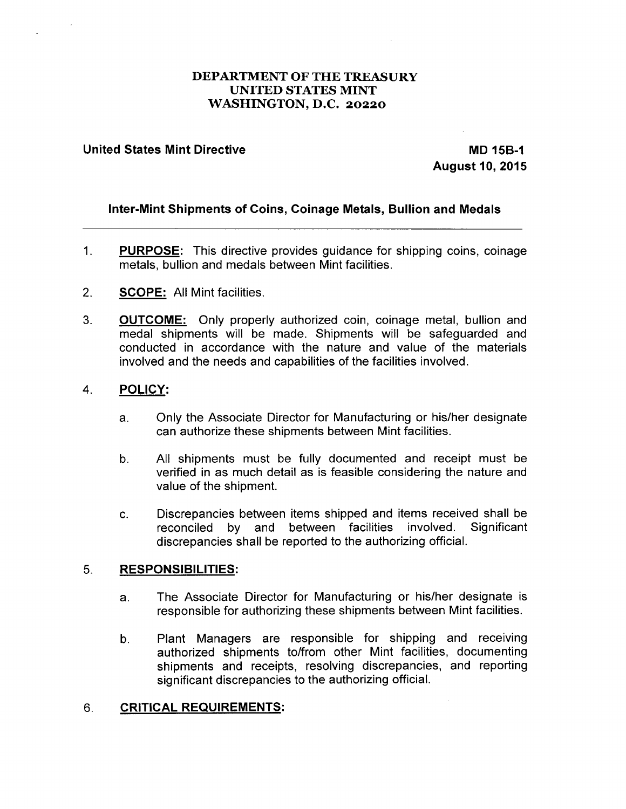# **DEPARTMENT OF THE TREASURY UNITED STATES MINT WASHINGTON, D.C. 20220**

## **United States Mint Directive MB 15B-1 and MB 15B-1 and MB 15B-1 and MB 15B-1 and MB 15B-1 and MB 15B-1 and MB**

**August 10, 2015** 

# **Inter-Mint Shipments of Coins, Coinage Metals, Bullion and Medals**

- 1. **PURPOSE:** This directive provides guidance for shipping coins, coinage metals, bullion and medals between Mint facilities.
- 2. **SCOPE:** All Mint facilities.
- 3. **OUTCOME:** Only properly authorized coin, coinage metal, bullion and medal shipments will be made. Shipments will be safeguarded and conducted in accordance with the nature and value of the materials involved and the needs and capabilities of the facilities involved.

#### 4. **POLICY:**

- a. Only the Associate Director for Manufacturing or his/her designate can authorize these shipments between Mint facilities.
- b. All shipments must be fully documented and receipt must be verified in as much detail as is feasible considering the nature and value of the shipment.
- c. Discrepancies between items shipped and items received shall be reconciled by and between facilities involved. Significant discrepancies shall be reported to the authorizing official.

## 5. **RESPONSIBILITIES:**

- a. The Associate Director for Manufacturing or his/her designate is responsible for authorizing these shipments between Mint facilities.
- b. Plant Managers are responsible for shipping and receiving authorized shipments to/from other Mint facilities, documenting shipments and receipts, resolving discrepancies, and reporting significant discrepancies to the authorizing official.

# 6. **CRITICAL REQUIREMENTS:**